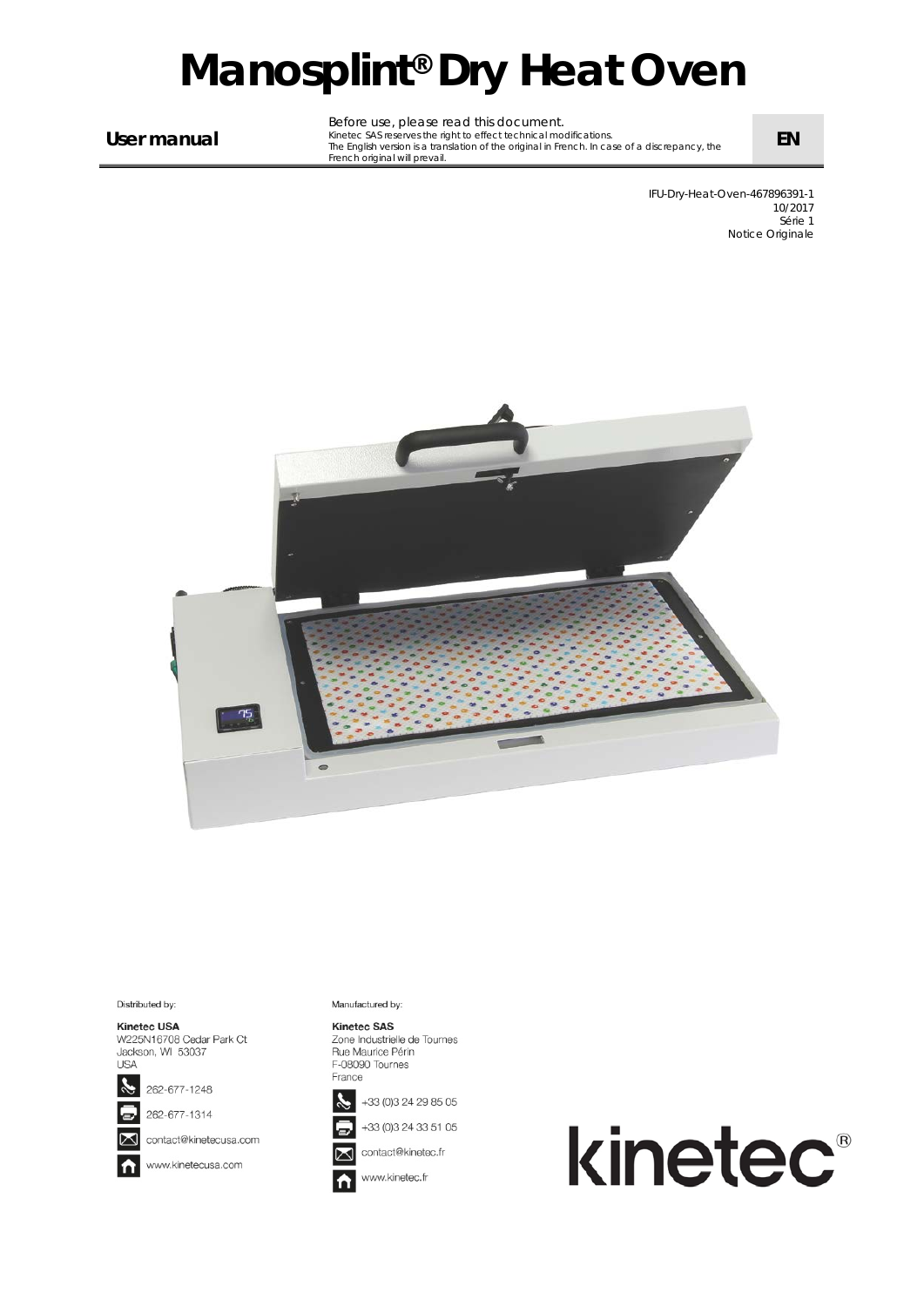# *Manosplint® Dry Heat Oven*

**User manual**

Before use, please read this document. Kinetec SAS reserves the right to effect technical modifications. The English version is a translation of the original in French. In case of a discrepancy, the French original will prevail.

> IFU-Dry-Heat-Oven-467896391-1 10/2017 Série 1 Notice Originale

**EN**



#### Distributed by:

Kinetec USA W225N16708 Cedar Park Ct Jackson, WI 53037 **USA** 



262-677-1314

contact@kinetecusa.com

www.kinetecusa.com ł

Manufactured by:

#### **Kinetec SAS**

Zone Industrielle de Tournes Rue Maurice Périn F-08090 Tournes France



+33 (0)3 24 33 51 05



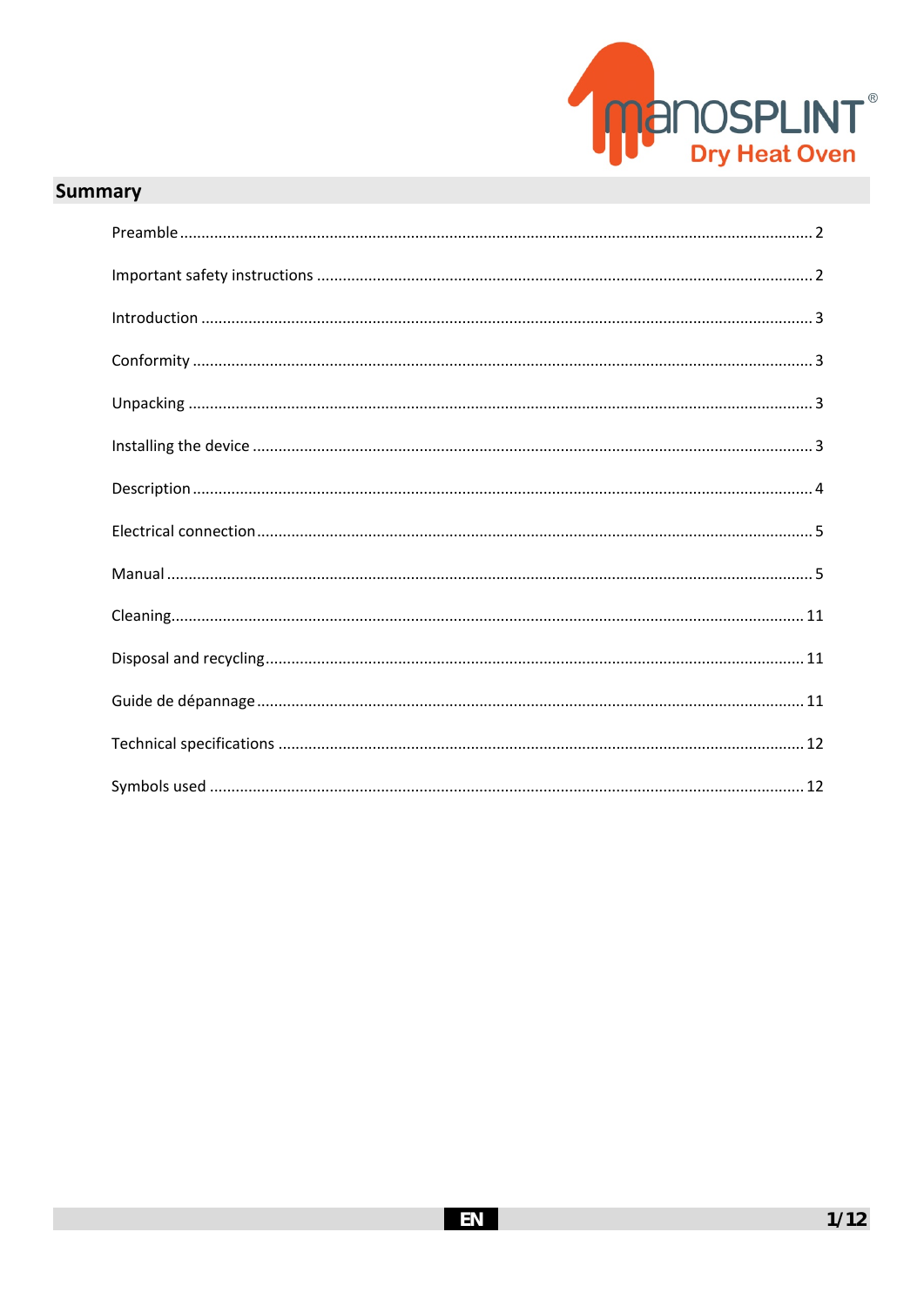

# **Summary**

| $\label{eq:1} \mbox{Introduction}\,\, \ldots \,\, \ldots \,\, \ldots \,\, \ldots \,\, \ldots \,\, \ldots \,\, \ldots \,\, \ldots \,\, \ldots \,\, \ldots \,\, \ldots \,\, \ldots \,\, \ldots \,\, \ldots \,\, \ldots \,\, \ldots \,\, \ldots \,\, \ldots \,\, \ldots \,\, \ldots \,\, \ldots \,\, \ldots \,\, \ldots \,\, \ldots \,\, \ldots \,\, \ldots \,\, \ldots \,\, \ldots \,\, \ldots \,\, \ldots \,\, \ldots \,\, \ldots \,\, \ldots \,\, \ldots \,\, \$ |
|------------------------------------------------------------------------------------------------------------------------------------------------------------------------------------------------------------------------------------------------------------------------------------------------------------------------------------------------------------------------------------------------------------------------------------------------------------------|
|                                                                                                                                                                                                                                                                                                                                                                                                                                                                  |
|                                                                                                                                                                                                                                                                                                                                                                                                                                                                  |
|                                                                                                                                                                                                                                                                                                                                                                                                                                                                  |
|                                                                                                                                                                                                                                                                                                                                                                                                                                                                  |
|                                                                                                                                                                                                                                                                                                                                                                                                                                                                  |
|                                                                                                                                                                                                                                                                                                                                                                                                                                                                  |
|                                                                                                                                                                                                                                                                                                                                                                                                                                                                  |
|                                                                                                                                                                                                                                                                                                                                                                                                                                                                  |
|                                                                                                                                                                                                                                                                                                                                                                                                                                                                  |
|                                                                                                                                                                                                                                                                                                                                                                                                                                                                  |
|                                                                                                                                                                                                                                                                                                                                                                                                                                                                  |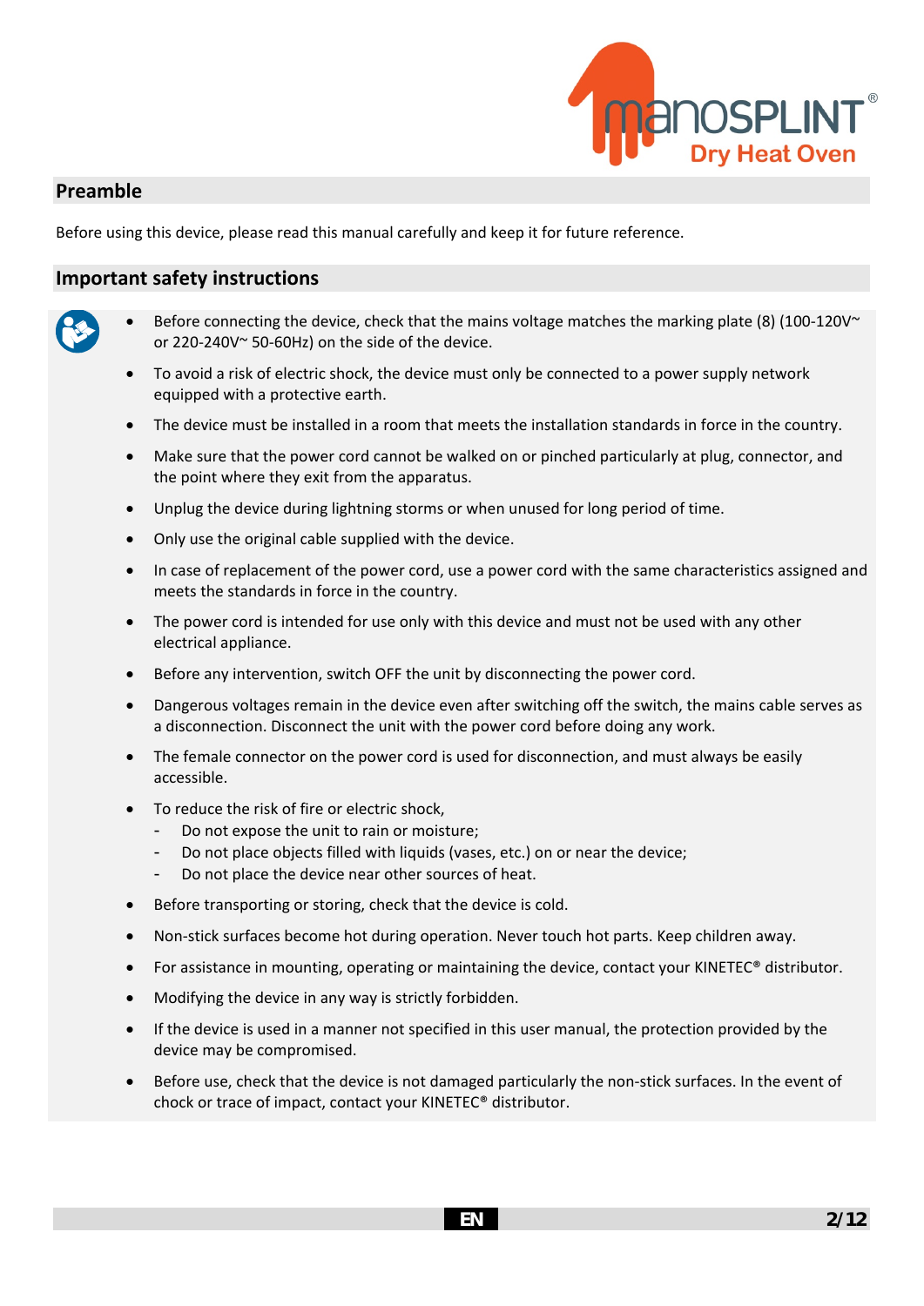

## **Preamble**

Before using this device, please read this manual carefully and keep it for future reference.

#### **Important safety instructions**

- 
- Before connecting the device, check that the mains voltage matches the marking plate (8) (100-120V $\sim$ or 220-240V~ 50-60Hz) on the side of the device.
- To avoid a risk of electric shock, the device must only be connected to a power supply network equipped with a protective earth.
- The device must be installed in a room that meets the installation standards in force in the country.
- Make sure that the power cord cannot be walked on or pinched particularly at plug, connector, and the point where they exit from the apparatus.
- Unplug the device during lightning storms or when unused for long period of time.
- Only use the original cable supplied with the device.
- In case of replacement of the power cord, use a power cord with the same characteristics assigned and meets the standards in force in the country.
- The power cord is intended for use only with this device and must not be used with any other electrical appliance.
- Before any intervention, switch OFF the unit by disconnecting the power cord.
- Dangerous voltages remain in the device even after switching off the switch, the mains cable serves as a disconnection. Disconnect the unit with the power cord before doing any work.
- The female connector on the power cord is used for disconnection, and must always be easily accessible.
- To reduce the risk of fire or electric shock,
	- Do not expose the unit to rain or moisture;
	- Do not place objects filled with liquids (vases, etc.) on or near the device;
	- Do not place the device near other sources of heat.
- Before transporting or storing, check that the device is cold.
- Non-stick surfaces become hot during operation. Never touch hot parts. Keep children away.
- For assistance in mounting, operating or maintaining the device, contact your KINETEC® distributor.
- Modifying the device in any way is strictly forbidden.
- If the device is used in a manner not specified in this user manual, the protection provided by the device may be compromised.
- Before use, check that the device is not damaged particularly the non-stick surfaces. In the event of chock or trace of impact, contact your KINETEC® distributor.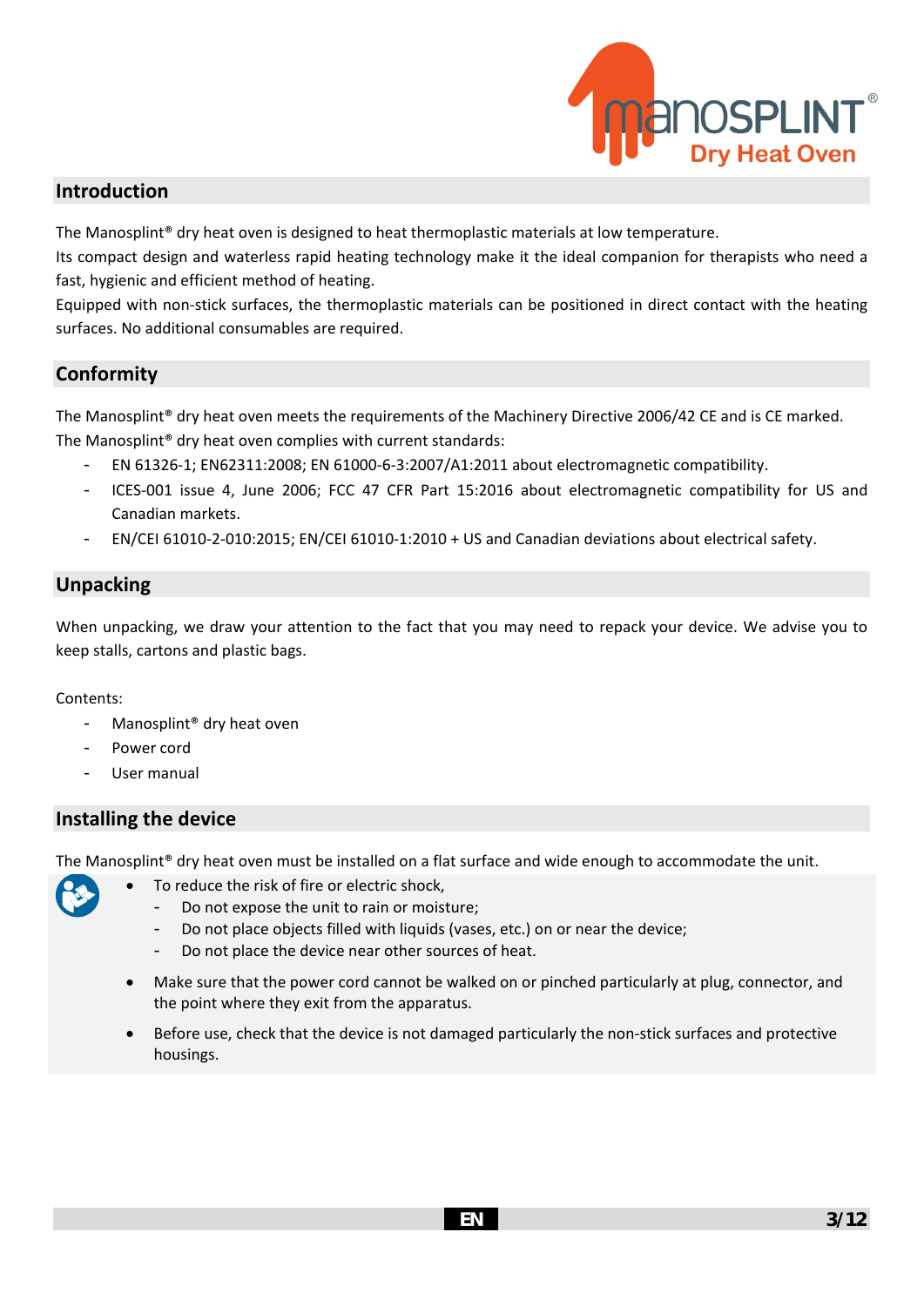

## **Introduction**

The Manosplint<sup>®</sup> dry heat oven is designed to heat thermoplastic materials at low temperature.

Its compact design and waterless rapid heating technology make it the ideal companion for therapists who need a fast, hygienic and efficient method of heating.

Equipped with non-stick surfaces, the thermoplastic materials can be positioned in direct contact with the heating surfaces. No additional consumables are required.

## **Conformity**

The Manosplint® dry heat oven meets the requirements of the Machinery Directive 2006/42 CE and is CE marked. The Manosplint® dry heat oven complies with current standards:

- EN 61326-1; EN62311:2008; EN 61000-6-3:2007/A1:2011 about electromagnetic compatibility.
- ICES-001 issue 4, June 2006; FCC 47 CFR Part 15:2016 about electromagnetic compatibility for US and Canadian markets.
- EN/CEI 61010-2-010:2015; EN/CEI 61010-1:2010 + US and Canadian deviations about electrical safety.

## **Unpacking**

When unpacking, we draw your attention to the fact that you may need to repack your device. We advise you to keep stalls, cartons and plastic bags.

#### Contents:

- Manosplint® dry heat oven
- Power cord
- User manual

## **Installing the device**

The Manosplint® dry heat oven must be installed on a flat surface and wide enough to accommodate the unit.

- To reduce the risk of fire or electric shock,
	- Do not expose the unit to rain or moisture;
	- Do not place objects filled with liquids (vases, etc.) on or near the device;
	- Do not place the device near other sources of heat.
	- Make sure that the power cord cannot be walked on or pinched particularly at plug, connector, and the point where they exit from the apparatus.
	- Before use, check that the device is not damaged particularly the non-stick surfaces and protective housings.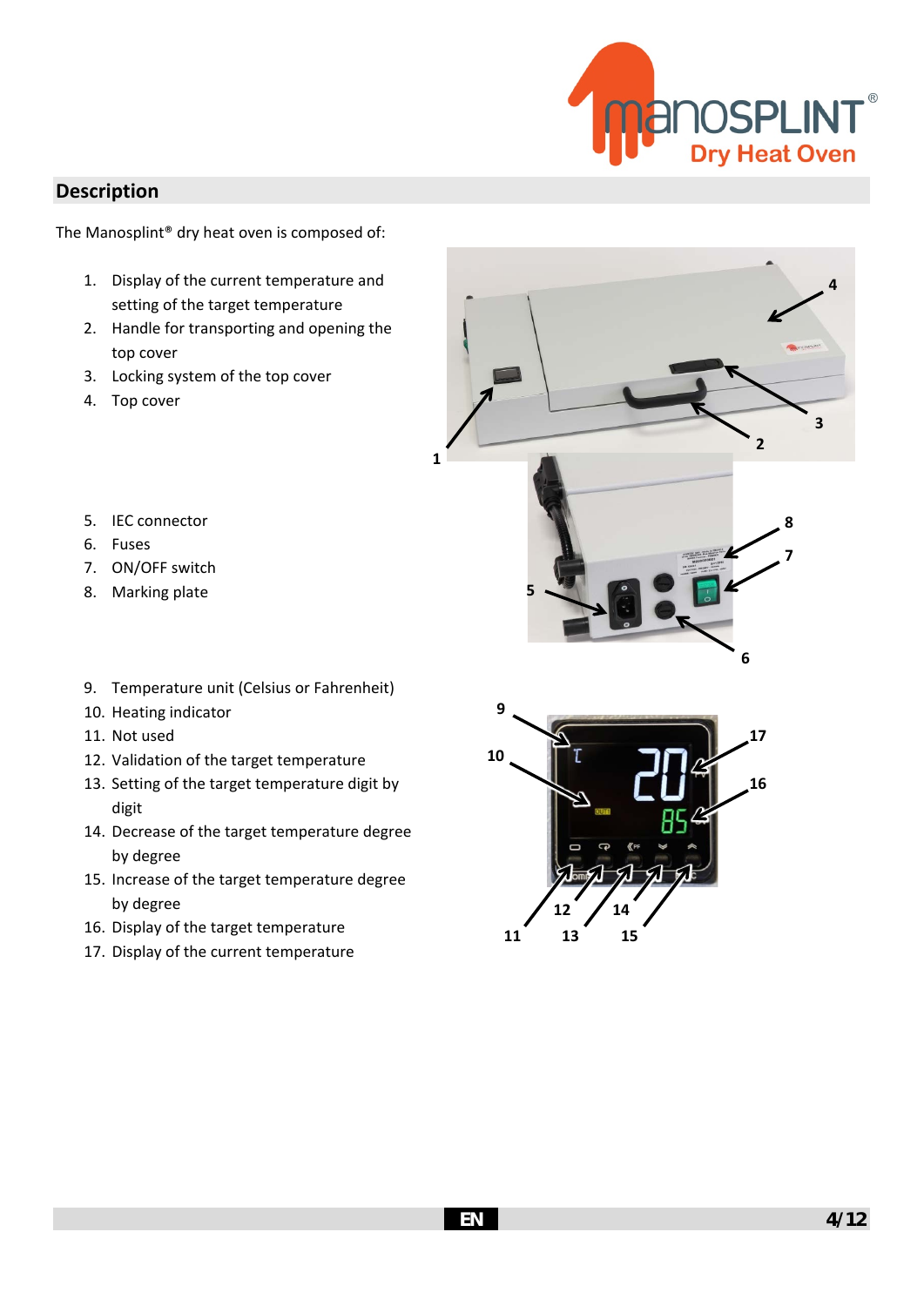

## **Description**

The Manosplint® dry heat oven is composed of:

- 1. Display of the current temperature and setting of the target temperature
- 2. Handle for transporting and opening the top cover
- 3. Locking system of the top cover
- 4. Top cover





- 6. Fuses
- 7. ON/OFF switch
- 8. Marking plate
- 9. Temperature unit (Celsius or Fahrenheit)
- 10. Heating indicator
- 11. Not used
- 12. Validation of the target temperature
- 13. Setting of the target temperature digit by digit
- 14. Decrease of the target temperature degree by degree
- 15. Increase of the target temperature degree by degree
- 16. Display of the target temperature
- 17. Display of the current temperature



**1**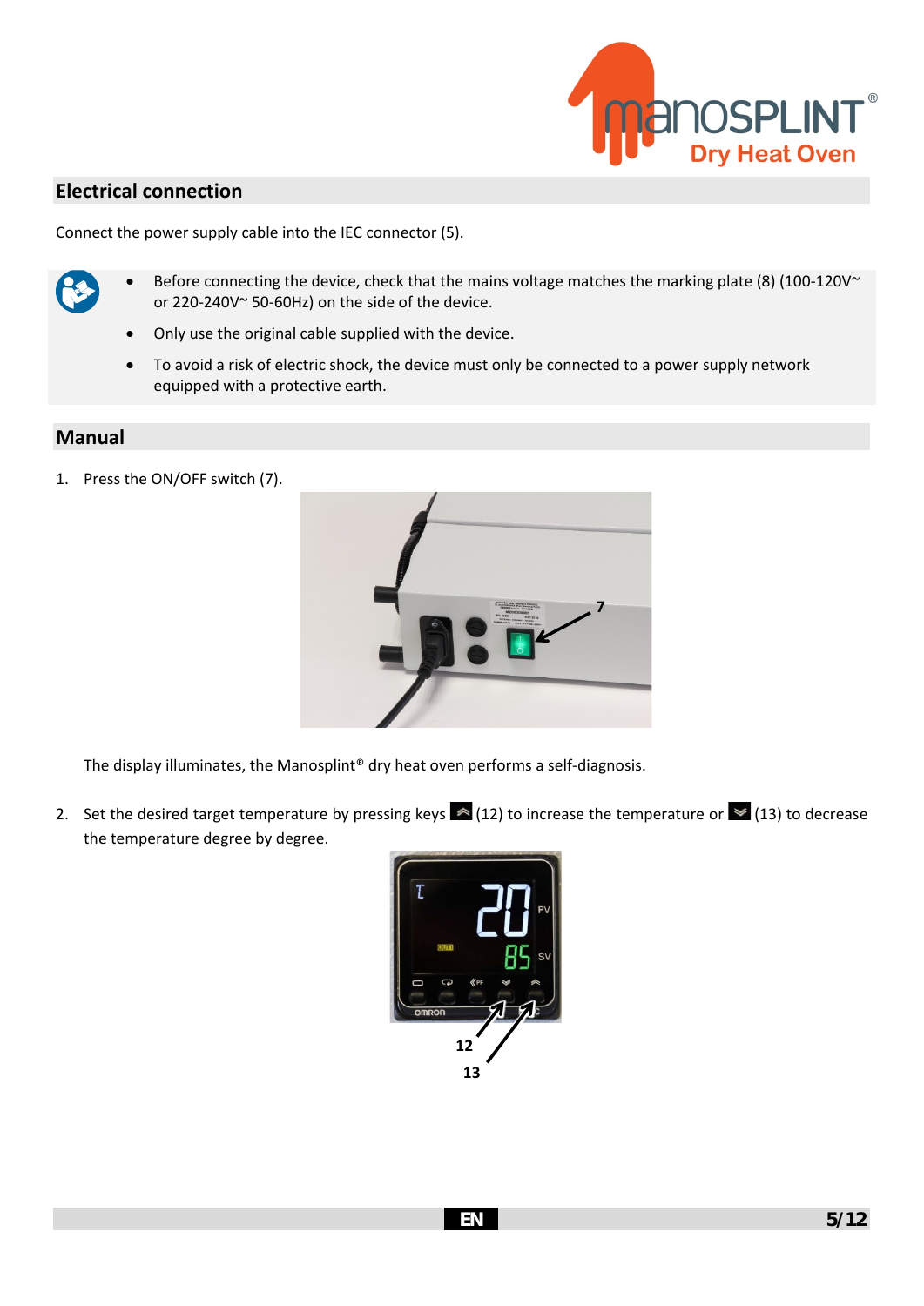

## **Electrical connection**

Connect the power supply cable into the IEC connector (5).



- Before connecting the device, check that the mains voltage matches the marking plate (8) (100-120V $\sim$ or 220-240V~ 50-60Hz) on the side of the device.
- Only use the original cable supplied with the device.
- To avoid a risk of electric shock, the device must only be connected to a power supply network equipped with a protective earth.

#### **Manual**

1. Press the ON/OFF switch (7).



The display illuminates, the Manosplint® dry heat oven performs a self-diagnosis.

2. Set the desired target temperature by pressing keys  $\triangle$  (12) to increase the temperature or  $\triangleq$  (13) to decrease the temperature degree by degree.

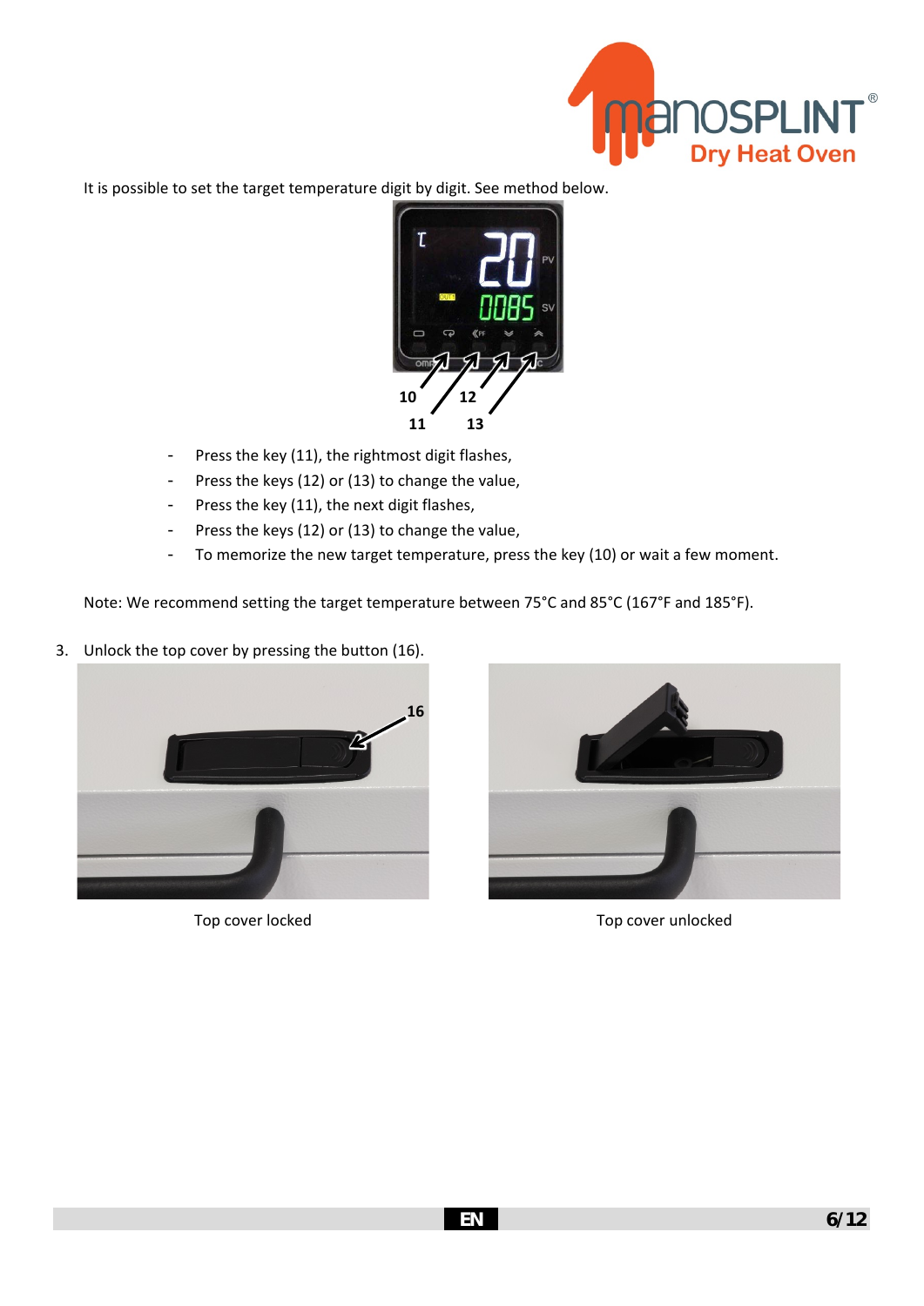

It is possible to set the target temperature digit by digit. See method below.



- Press the key (11), the rightmost digit flashes,
- Press the keys (12) or (13) to change the value,
- Press the key (11), the next digit flashes,
- Press the keys (12) or (13) to change the value,
- To memorize the new target temperature, press the key (10) or wait a few moment.

Note: We recommend setting the target temperature between 75°C and 85°C (167°F and 185°F).

3. Unlock the top cover by pressing the button (16).





Top cover locked Top cover unlocked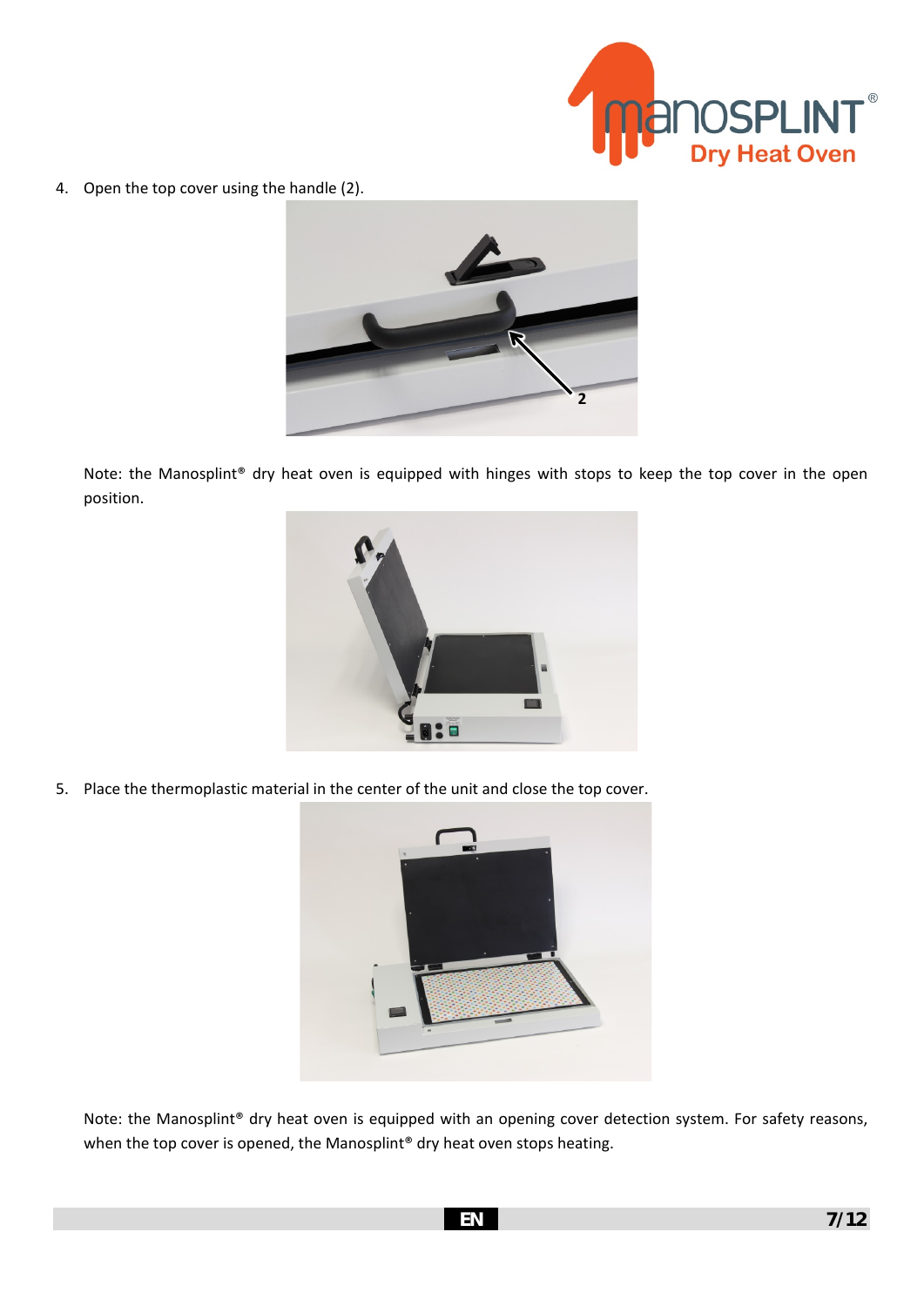

4. Open the top cover using the handle (2).



Note: the Manosplint® dry heat oven is equipped with hinges with stops to keep the top cover in the open position.



5. Place the thermoplastic material in the center of the unit and close the top cover.



Note: the Manosplint® dry heat oven is equipped with an opening cover detection system. For safety reasons, when the top cover is opened, the Manosplint® dry heat oven stops heating.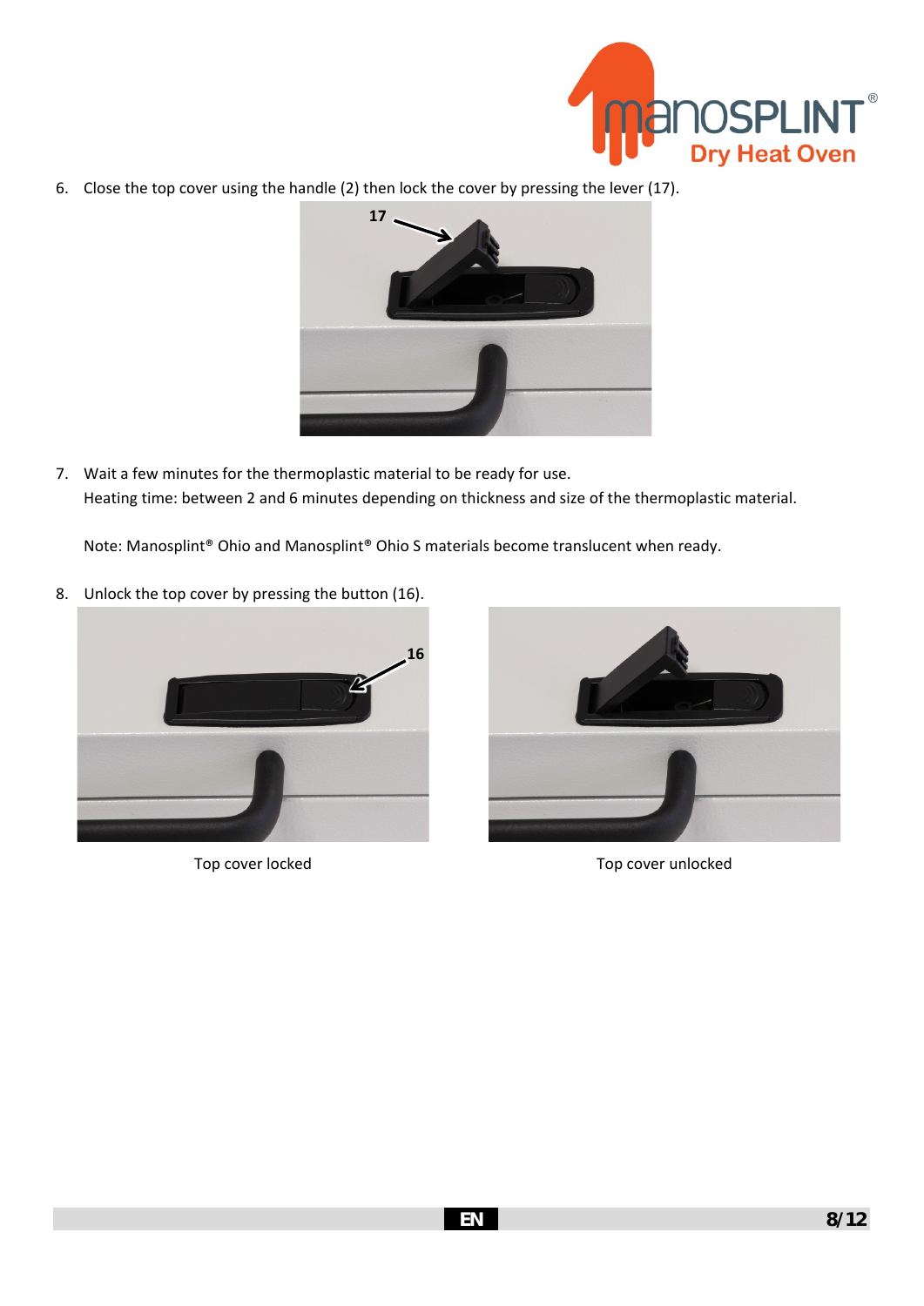

6. Close the top cover using the handle (2) then lock the cover by pressing the lever (17).



7. Wait a few minutes for the thermoplastic material to be ready for use. Heating time: between 2 and 6 minutes depending on thickness and size of the thermoplastic material.

Note: Manosplint® Ohio and Manosplint® Ohio S materials become translucent when ready.

8. Unlock the top cover by pressing the button (16).





Top cover locked Top cover unlocked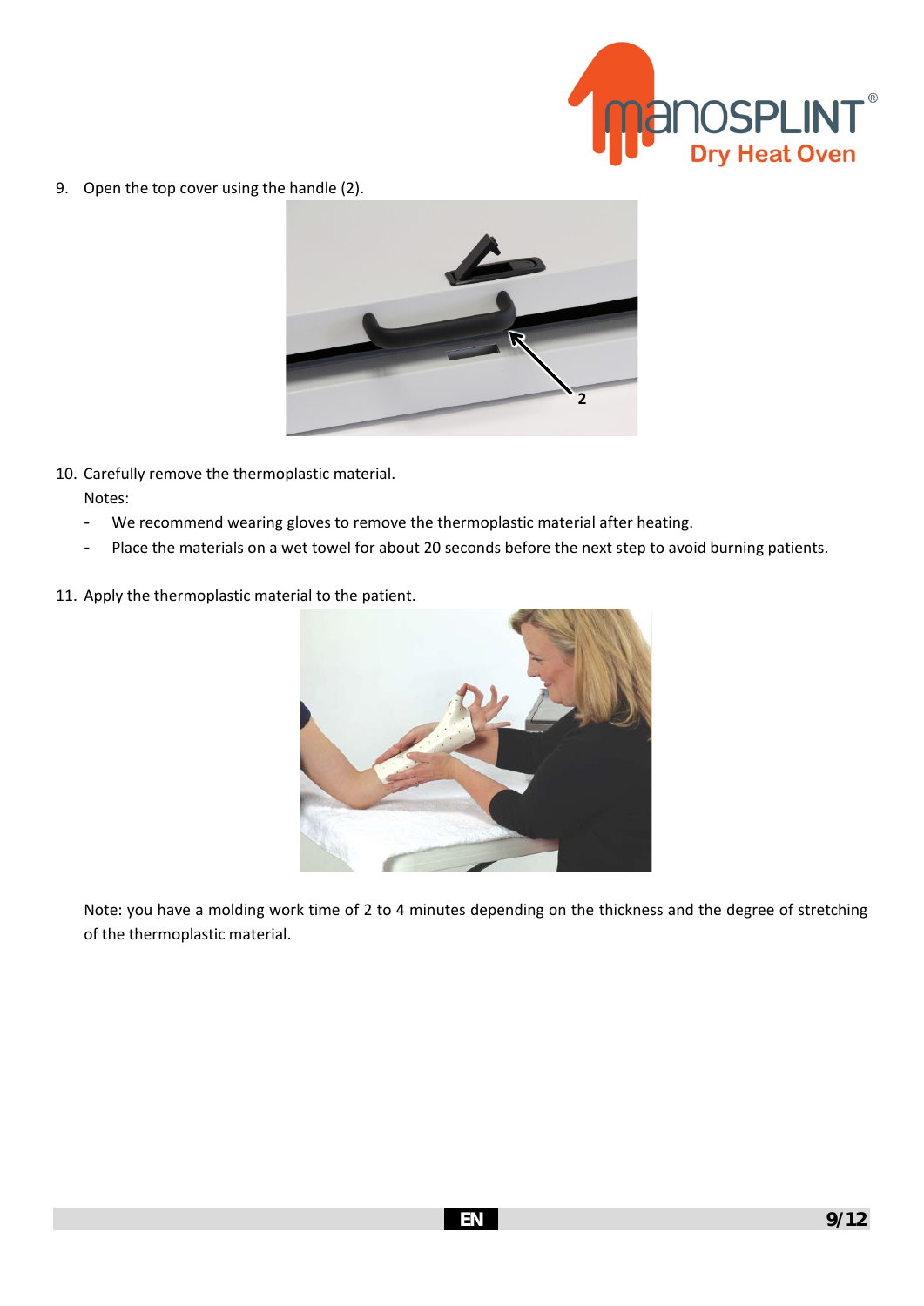

9. Open the top cover using the handle (2).



- 10. Carefully remove the thermoplastic material. Notes:
	- We recommend wearing gloves to remove the thermoplastic material after heating.
	- Place the materials on a wet towel for about 20 seconds before the next step to avoid burning patients.
- 11. Apply the thermoplastic material to the patient.



Note: you have a molding work time of 2 to 4 minutes depending on the thickness and the degree of stretching of the thermoplastic material.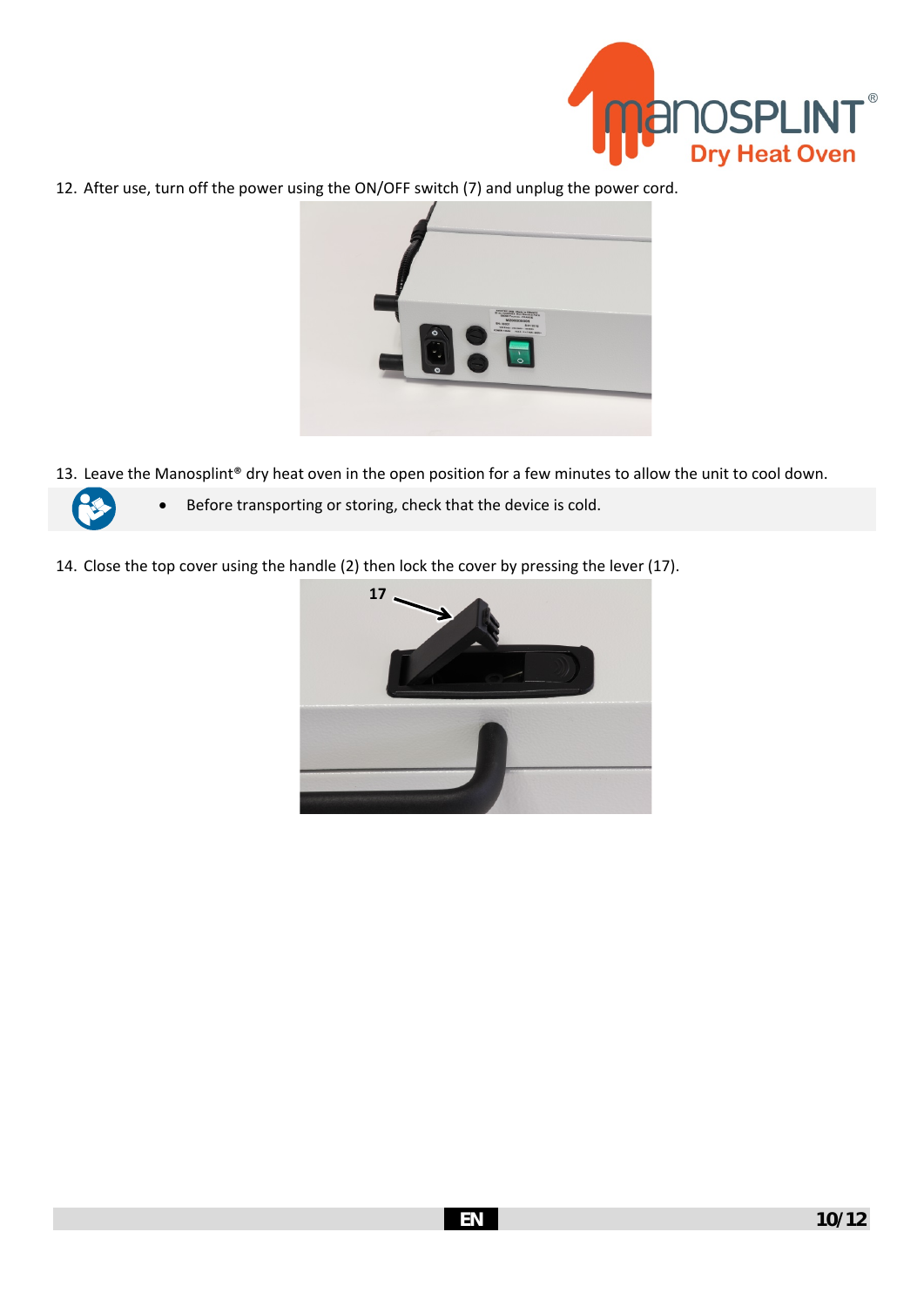

12. After use, turn off the power using the ON/OFF switch (7) and unplug the power cord.



13. Leave the Manosplint® dry heat oven in the open position for a few minutes to allow the unit to cool down.



- Before transporting or storing, check that the device is cold.
- 14. Close the top cover using the handle (2) then lock the cover by pressing the lever (17).

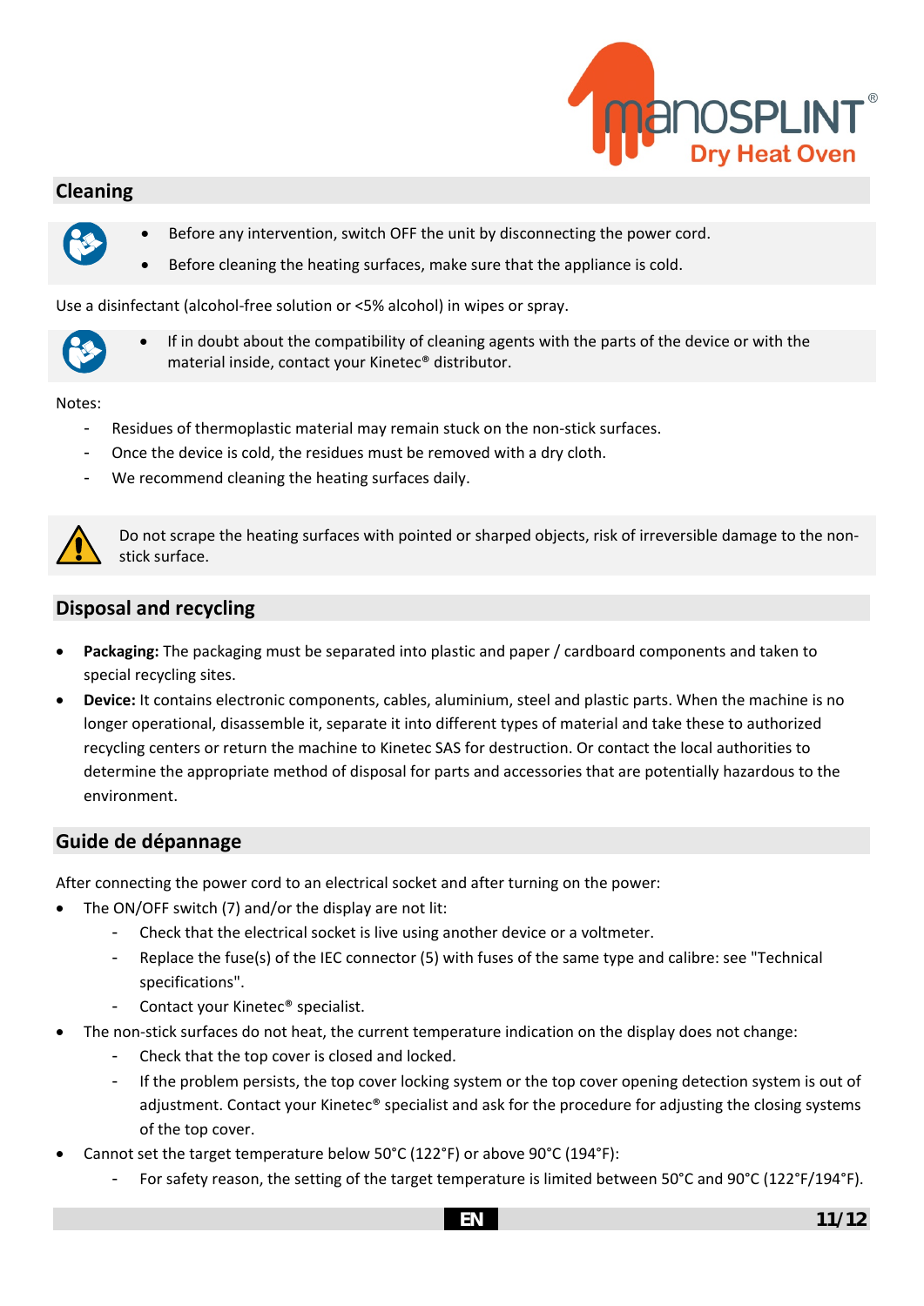

## **Cleaning**



- Before any intervention, switch OFF the unit by disconnecting the power cord.
- Before cleaning the heating surfaces, make sure that the appliance is cold.

Use a disinfectant (alcohol-free solution or <5% alcohol) in wipes or spray.



• If in doubt about the compatibility of cleaning agents with the parts of the device or with the material inside, contact your Kinetec® distributor.

#### Notes:

- Residues of thermoplastic material may remain stuck on the non-stick surfaces.
- Once the device is cold, the residues must be removed with a dry cloth.
- We recommend cleaning the heating surfaces daily.



Do not scrape the heating surfaces with pointed or sharped objects, risk of irreversible damage to the nonstick surface.

## **Disposal and recycling**

- **Packaging:** The packaging must be separated into plastic and paper / cardboard components and taken to special recycling sites.
- **Device:** It contains electronic components, cables, aluminium, steel and plastic parts. When the machine is no longer operational, disassemble it, separate it into different types of material and take these to authorized recycling centers or return the machine to Kinetec SAS for destruction. Or contact the local authorities to determine the appropriate method of disposal for parts and accessories that are potentially hazardous to the environment.

## **Guide de dépannage**

After connecting the power cord to an electrical socket and after turning on the power:

- The ON/OFF switch (7) and/or the display are not lit:
	- Check that the electrical socket is live using another device or a voltmeter.
	- Replace the fuse(s) of the IEC connector (5) with fuses of the same type and calibre: see "Technical [specifications"](#page-13-0).
	- Contact your Kinetec<sup>®</sup> specialist.
- The non-stick surfaces do not heat, the current temperature indication on the display does not change:
	- Check that the top cover is closed and locked.
	- If the problem persists, the top cover locking system or the top cover opening detection system is out of adjustment. Contact your Kinetec® specialist and ask for the procedure for adjusting the closing systems of the top cover.
- Cannot set the target temperature below 50°C (122°F) or above 90°C (194°F):
	- For safety reason, the setting of the target temperature is limited between 50°C and 90°C (122°F/194°F).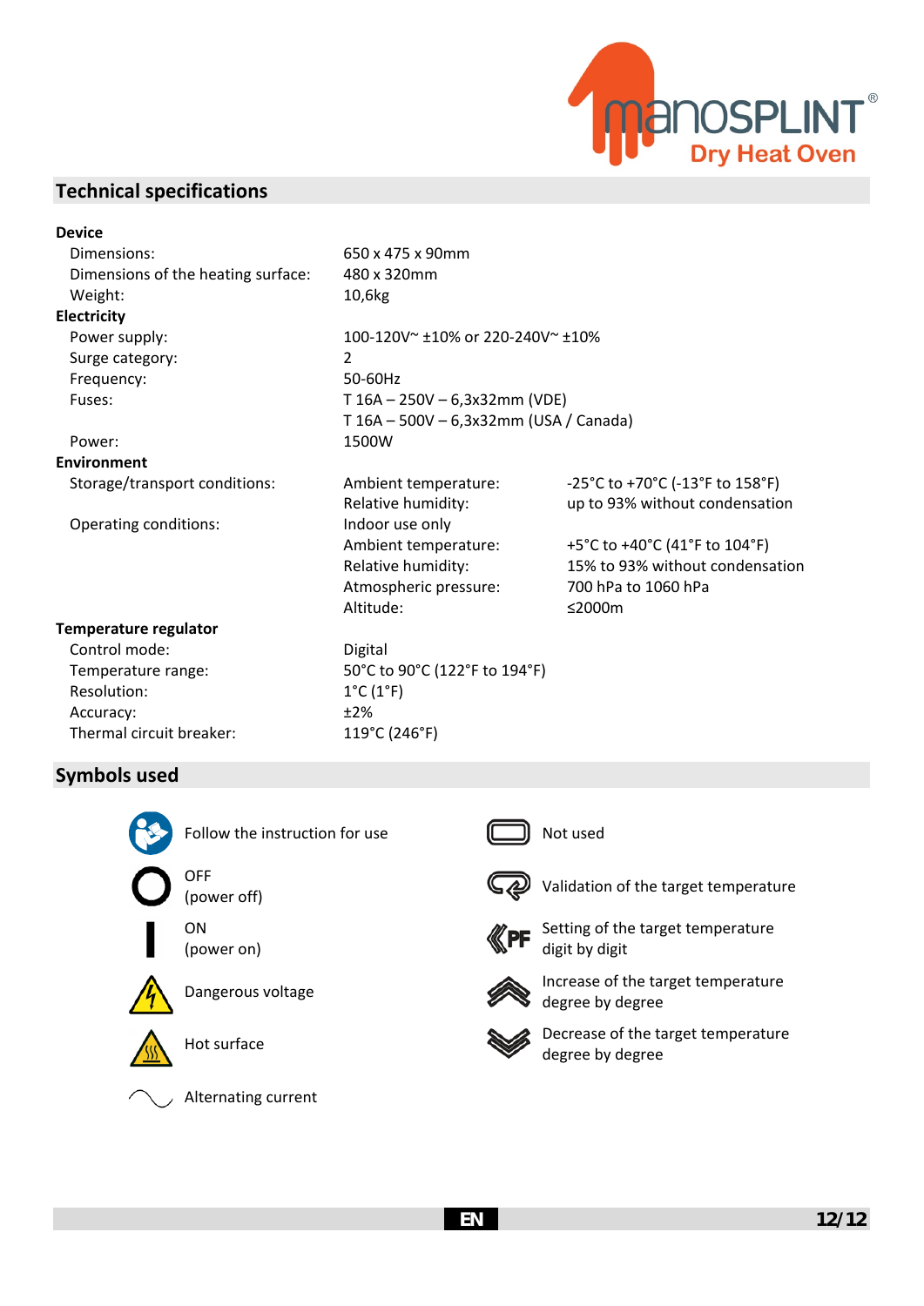

## <span id="page-13-0"></span>**Technical specifications**

#### **Device**

Dimensions: 650 x 475 x 90mm Dimensions of the heating surface: 480 x 320mm Weight: 10,6kg **Electricity**

Power supply:  $100-120V^* \pm 10\%$  or 220-240V $\approx$   $\pm 10\%$ Surge category: 2 Frequency: 50-60Hz Fuses: T 16A – 250V – 6,3x32mm (VDE)

#### Power: 1500W

**Environment**

Operating conditions: Indoor use only

#### **Temperature regulator**

Control mode: Digital Resolution: 1<sup>°</sup>C (1<sup>°F)</sup> Accuracy:  $\pm 2\%$ Thermal circuit breaker: 119°C (246°F)

Temperature range: 50°C to 90°C (122°F to 194°F)

Storage/transport conditions: Ambient temperature: -25°C to +70°C (-13°F to 158°F) Relative humidity: up to 93% without condensation

> Ambient temperature: +5°C to +40°C (41°F to 104°F) Relative humidity: 15% to 93% without condensation Atmospheric pressure: 700 hPa to 1060 hPa Altitude: ≤2000m

## **Symbols used**



Follow the instruction for use  $\Box$  Not used





(power on)







Alternating current

T 16A – 500V – 6,3x32mm (USA / Canada)





 $\mathbb{C}$  Validation of the target temperature (power off)



Setting of the target temperature digit by digit



Dangerous voltage **Increase of the target temperature** degree by degree



Hot surface **Decrease of the target temperature** degree by degree